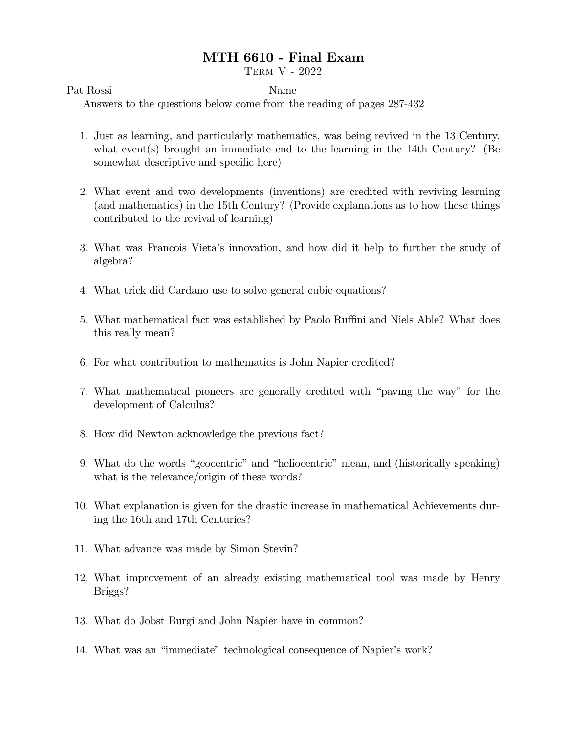## MTH 6610 - Final Exam

Term V - 2022

Pat Rossi Name

Answers to the questions below come from the reading of pages 287-432

- 1. Just as learning, and particularly mathematics, was being revived in the 13 Century, what event(s) brought an immediate end to the learning in the 14th Century? (Be somewhat descriptive and specific here)
- 2. What event and two developments (inventions) are credited with reviving learning (and mathematics) in the 15th Century? (Provide explanations as to how these things contributed to the revival of learning)
- 3. What was Francois Vietaís innovation, and how did it help to further the study of algebra?
- 4. What trick did Cardano use to solve general cubic equations?
- 5. What mathematical fact was established by Paolo Ruffini and Niels Able? What does this really mean?
- 6. For what contribution to mathematics is John Napier credited?
- 7. What mathematical pioneers are generally credited with "paving the way" for the development of Calculus?
- 8. How did Newton acknowledge the previous fact?
- 9. What do the words "geocentric" and "heliocentric" mean, and (historically speaking) what is the relevance/origin of these words?
- 10. What explanation is given for the drastic increase in mathematical Achievements during the 16th and 17th Centuries?
- 11. What advance was made by Simon Stevin?
- 12. What improvement of an already existing mathematical tool was made by Henry Briggs?
- 13. What do Jobst Burgi and John Napier have in common?
- 14. What was an "immediate" technological consequence of Napier's work?